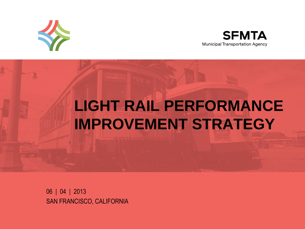



# **LIGHT RAIL PERFORMANCE IMPROVEMENT STRATEGY**

06 | 04 | 2013 SAN FRANCISCO, CALIFORNIA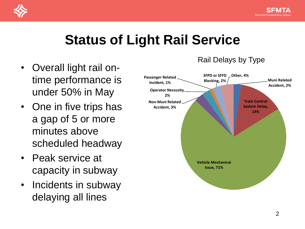

## **Status of Light Rail Service**

- Overall light rail ontime performance is under 50% in May
- One in five trips has a gap of 5 or more minutes above scheduled headway
- Peak service at capacity in subway
- Incidents in subway delaying all lines



#### Rail Delays by Type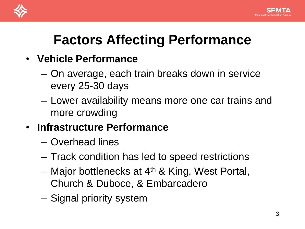



## **Factors Affecting Performance**

- **Vehicle Performance**
	- On average, each train breaks down in service every 25-30 days
	- Lower availability means more one car trains and more crowding
- **Infrastructure Performance**
	- Overhead lines
	- Track condition has led to speed restrictions
	- Major bottlenecks at 4th & King, West Portal, Church & Duboce, & Embarcadero
	- Signal priority system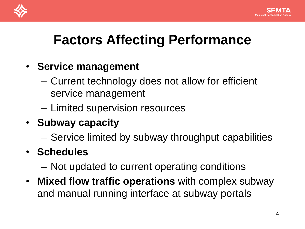



## **Factors Affecting Performance**

#### • **Service management**

- Current technology does not allow for efficient service management
- Limited supervision resources
- **Subway capacity**
	- Service limited by subway throughput capabilities
- **Schedules**
	- Not updated to current operating conditions
- **Mixed flow traffic operations** with complex subway and manual running interface at subway portals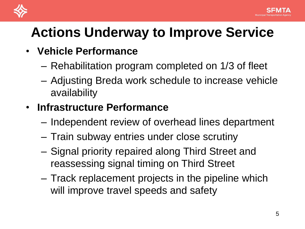

#### • **Vehicle Performance**

- Rehabilitation program completed on 1/3 of fleet
- Adjusting Breda work schedule to increase vehicle availability

### • **Infrastructure Performance**

- Independent review of overhead lines department
- Train subway entries under close scrutiny
- Signal priority repaired along Third Street and reassessing signal timing on Third Street
- Track replacement projects in the pipeline which will improve travel speeds and safety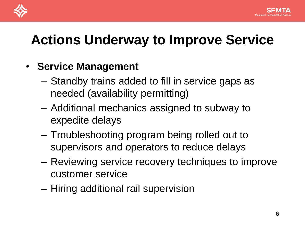



#### • **Service Management**

- Standby trains added to fill in service gaps as needed (availability permitting)
- Additional mechanics assigned to subway to expedite delays
- Troubleshooting program being rolled out to supervisors and operators to reduce delays
- Reviewing service recovery techniques to improve customer service
- Hiring additional rail supervision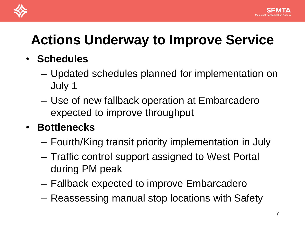

- **Schedules**
	- Updated schedules planned for implementation on July 1
	- Use of new fallback operation at Embarcadero expected to improve throughput

### • **Bottlenecks**

- Fourth/King transit priority implementation in July
- Traffic control support assigned to West Portal during PM peak
- Fallback expected to improve Embarcadero
- Reassessing manual stop locations with Safety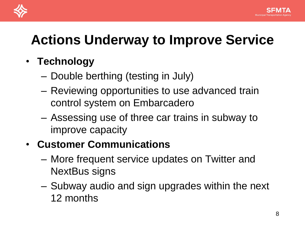

- **Technology**
	- Double berthing (testing in July)
	- Reviewing opportunities to use advanced train control system on Embarcadero
	- Assessing use of three car trains in subway to improve capacity

### • **Customer Communications**

- More frequent service updates on Twitter and NextBus signs
- Subway audio and sign upgrades within the next 12 months